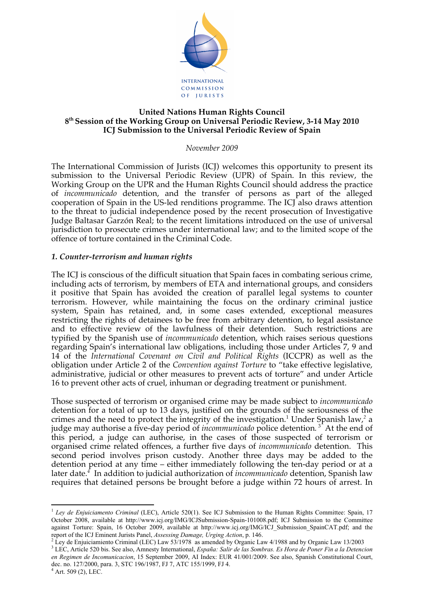

### **United Nations Human Rights Council 8th Session of the Working Group on Universal Periodic Review, 3-14 May 2010 ICJ Submission to the Universal Periodic Review of Spain**

*November 2009*

The International Commission of Jurists (ICJ) welcomes this opportunity to present its submission to the Universal Periodic Review (UPR) of Spain. In this review, the Working Group on the UPR and the Human Rights Council should address the practice of *incommunicado* detention, and the transfer of persons as part of the alleged cooperation of Spain in the US-led renditions programme. The ICJ also draws attention to the threat to judicial independence posed by the recent prosecution of Investigative Judge Baltasar Garzón Real; to the recent limitations introduced on the use of universal jurisdiction to prosecute crimes under international law; and to the limited scope of the offence of torture contained in the Criminal Code.

## *1. Counter-terrorism and human rights*

The ICJ is conscious of the difficult situation that Spain faces in combating serious crime, including acts of terrorism, by members of ETA and international groups, and considers it positive that Spain has avoided the creation of parallel legal systems to counter terrorism. However, while maintaining the focus on the ordinary criminal justice system, Spain has retained, and, in some cases extended, exceptional measures restricting the rights of detainees to be free from arbitrary detention, to legal assistance and to effective review of the lawfulness of their detention. Such restrictions are typified by the Spanish use of *incommunicado* detention, which raises serious questions regarding Spain's international law obligations, including those under Articles 7, 9 and 14 of the *International Covenant on Civil and Political Rights* (ICCPR) as well as the obligation under Article 2 of the *Convention against Torture* to "take effective legislative, administrative, judicial or other measures to prevent acts of torture" and under Article 16 to prevent other acts of cruel, inhuman or degrading treatment or punishment.

Those suspected of terrorism or organised crime may be made subject to *incommunicado* detention for a total of up to 13 days, justified on the grounds of the seriousness of the crimes and the need to protect the integrity of the investigation.<sup>1</sup> Under Spanish law,<sup>2</sup> a judge may authorise a five-day period of *incommunicado* police detention.<sup>3</sup> At the end of this period, a judge can authorise, in the cases of those suspected of terrorism or organised crime related offences, a further five days of *incommunicado* detention. This second period involves prison custody. Another three days may be added to the detention period at any time – either immediately following the ten-day period or at a later date*. <sup>4</sup>* In addition to judicial authorization of *incommunicado* detention, Spanish law requires that detained persons be brought before a judge within 72 hours of arrest. In

<sup>&</sup>lt;sup>1</sup> *Ley de Enjuiciamento Criminal* (LEC), Article 520(1). See ICJ Submission to the Human Rights Committee: Spain, 17 October 2008, available at http://www.icj.org/IMG/ICJSubmission-Spain-101008.pdf; ICJ Submission to the Committee against Torture: Spain, 16 October 2009, available at http://www.icj.org/IMG/ICJ\_Submission\_SpainCAT.pdf; and the report of the ICJ Eminent Jurists Panel, *Assessing Damage, Urging Action*, p. 146. <sup>2</sup>

<sup>&</sup>lt;sup>2</sup> Ley de Enjuiciamiento Criminal (LEC) Law 53/1978 as amended by Organic Law 4/1988 and by Organic Law 13/2003

<sup>3</sup> LEC, Article 520 bis. See also, Amnesty International, *España: Salir de las Sombras. Es Hora de Poner Fin a la Detencion en Regimen de Incomunicacion*, 15 September 2009, AI Index: EUR 41/001/2009. See also, Spanish Constitutional Court, dec. no. 127/2000, para. 3, STC 196/1987, FJ 7, ATC 155/1999, FJ 4.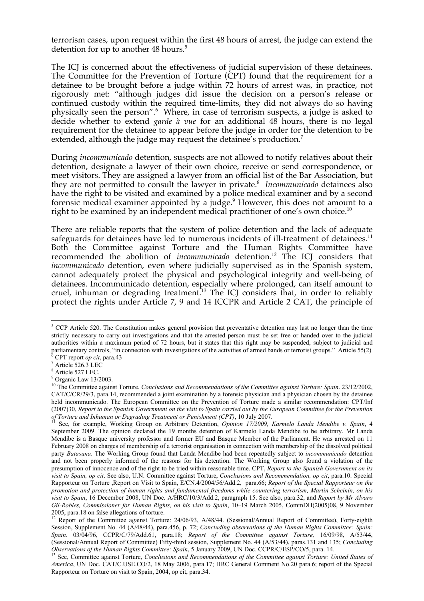terrorism cases, upon request within the first 48 hours of arrest, the judge can extend the detention for up to another 48 hours.<sup>5</sup>

The ICJ is concerned about the effectiveness of judicial supervision of these detainees. The Committee for the Prevention of Torture (CPT) found that the requirement for a detainee to be brought before a judge within 72 hours of arrest was, in practice, not rigorously met: "although judges did issue the decision on a person's release or continued custody within the required time-limits, they did not always do so having physically seen the person".<sup>6</sup> Where, in case of terrorism suspects, a judge is asked to decide whether to extend *garde à vue* for an additional 48 hours, there is no legal requirement for the detainee to appear before the judge in order for the detention to be extended, although the judge may request the detainee's production.<sup>7</sup>

During *incommunicado* detention, suspects are not allowed to notify relatives about their detention, designate a lawyer of their own choice, receive or send correspondence, or meet visitors. They are assigned a lawyer from an official list of the Bar Association, but they are not permitted to consult the lawyer in private.8 *Incommunicado* detainees also have the right to be visited and examined by a police medical examiner and by a second forensic medical examiner appointed by a judge.<sup>9</sup> However, this does not amount to a right to be examined by an independent medical practitioner of one's own choice.<sup>10</sup>

There are reliable reports that the system of police detention and the lack of adequate safeguards for detainees have led to numerous incidents of ill-treatment of detainees.<sup>11</sup> Both the Committee against Torture and the Human Rights Committee have recommended the abolition of *incommunicado* detention.12 The ICJ considers that *incommunicado* detention, even where judicially supervised as in the Spanish system, cannot adequately protect the physical and psychological integrity and well-being of detainees. Incommunicado detention, especially where prolonged, can itself amount to cruel, inhuman or degrading treatment.<sup>13</sup> The ICJ considers that, in order to reliably protect the rights under Article 7, 9 and 14 ICCPR and Article 2 CAT, the principle of

 $\frac{1}{5}$ <sup>5</sup> CCP Article 520. The Constitution makes general provision that preventative detention may last no longer than the time strictly necessary to carry out investigations and that the arrested person must be set free or handed over to the judicial authorities within a maximum period of 72 hours, but it states that this right may be suspended, subject to judicial and parliamentary controls, "in connection with investigations of the activities of armed bands or terrorist groups." Article 55(2) CPT report *op cit*, para.43 <sup>7</sup>

 $^{\prime}$  Article 526.3 LEC<br> $^{\prime}$  Article 527 LEC.

 $9$  Organic Law 13/2003.

<sup>&</sup>lt;sup>10</sup> The Committee against Torture, *Conclusions and Recommendations of the Committee against Torture: Spain.* 23/12/2002, CAT/C/CR/29/3, para.14, recommended a joint examination by a forensic physician and a physician chosen by the detainee held incommunicado. The European Committee on the Prevention of Torture made a similar recommendation: CPT/Inf (2007)30, *Report to the Spanish Government on the visit to Spain carried out by the European Committee for the Prevention* 

*of Torture and Inhuman or Degrading Treatment or Punishment (CPT)*, 10 July 2007.<br><sup>11</sup> See, for example, Working Group on Arbitrary Detention, *Opinion 17/2009, Karmelo Landa Mendibe v. Spain*, 4 September 2009. The opinion declared the 19 months detention of Karmelo Landa Mendibe to be arbitrary. Mr Landa Mendibe is a Basque university professor and former EU and Basque Member of the Parliament. He was arrested on 11 February 2008 on charges of membership of a terrorist organisation in connection with membership of the dissolved political party *Batasuna*. The Working Group found that Landa Mendibe had been repeatedly subject to *incommunicado* detention and not been properly informed of the reasons for his detention. The Working Group also found a violation of the presumption of innocence and of the right to be tried within reasonable time. CPT, *Report to the Spanish Government on its visit to Spain, op cit*. See also, U.N. Committee against Torture, *Conclusions and Recommendation, op cit*, para.10. Special Rapporteur on Torture ,Report on Visit to Spain, E/CN.4/2004/56/Add.2, para.66; *Report of the Special Rapporteur on the promotion and protection of human rights and fundamental freedoms while countering terrorism, Martin Scheinin, on his visit to Spain*, 16 December 2008, UN Doc. A/HRC/10/3/Add.2, paragraph 15. See also, para.32, and *Report by Mr Alvaro Gil-Robles, Commissioner for Human Rights, on his visit to Spain*, 10–19 March 2005, CommDH(2005)08, 9 November 2005, para.18 on false allegations of torture.<br><sup>12</sup> Report of the Committee against Torture: 24/06/93, A/48/44. (Sessional/Annual Report of Committee), Forty-eighth

Session, Supplement No. 44 (A/48/44), para.456, p. 72; *Concluding observations of the Human Rights Committee: Spain: Spain*. 03/04/96, CCPR/C/79/Add.61, para.18; *Report of the Committee against Torture,* 16/09/98, A/53/44, (Sessional/Annual Report of Committee) Fifty-third session, Supplement No. 44 (A/53/44), paras.131 and 135; *Concluding*  Observations of the Human Rights Committee: Spain, 5 January 2009, UN Doc. CCPR/C/ESP/CO/5, para. 14.<br><sup>13</sup> See, Committee against Torture, Conclusions and Recommendations of the Committee against Torture: United States of

*America*, UN Doc. CAT/C.USE.CO/2, 18 May 2006, para.17; HRC General Comment No.20 para.6; report of the Special Rapporteur on Torture on visit to Spain, 2004, op cit, para.34.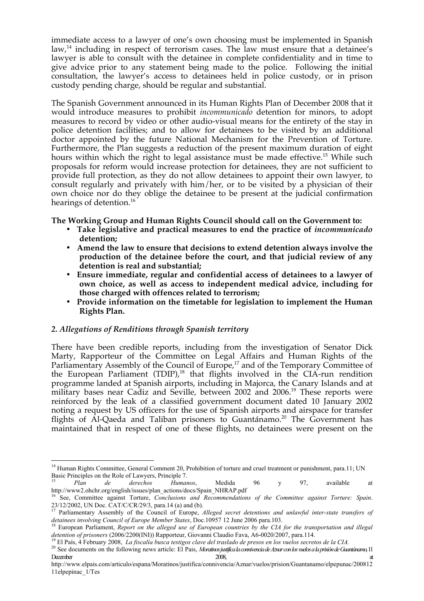immediate access to a lawyer of one's own choosing must be implemented in Spanish law, $<sup>14</sup>$  including in respect of terrorism cases. The law must ensure that a detainee's</sup> lawyer is able to consult with the detainee in complete confidentiality and in time to give advice prior to any statement being made to the police. Following the initial consultation, the lawyer's access to detainees held in police custody, or in prison custody pending charge, should be regular and substantial.

The Spanish Government announced in its Human Rights Plan of December 2008 that it would introduce measures to prohibit *incommunicado* detention for minors, to adopt measures to record by video or other audio-visual means for the entirety of the stay in police detention facilities; and to allow for detainees to be visited by an additional doctor appointed by the future National Mechanism for the Prevention of Torture. Furthermore, the Plan suggests a reduction of the present maximum duration of eight hours within which the right to legal assistance must be made effective.<sup>15</sup> While such proposals for reform would increase protection for detainees, they are not sufficient to provide full protection, as they do not allow detainees to appoint their own lawyer, to consult regularly and privately with him/her, or to be visited by a physician of their own choice nor do they oblige the detainee to be present at the judicial confirmation hearings of detention. 16

**The Working Group and Human Rights Council should call on the Government to:**

- **Take legislative and practical measures to end the practice of** *incommunicado* **detention;**
- **Amend the law to ensure that decisions to extend detention always involve the production of the detainee before the court, and that judicial review of any detention is real and substantial;**
- **Ensure immediate, regular and confidential access of detainees to a lawyer of own choice, as well as access to independent medical advice, including for those charged with offences related to terrorism;**
- **Provide information on the timetable for legislation to implement the Human Rights Plan.**

# *2. Allegations of Renditions through Spanish territory*

There have been credible reports, including from the investigation of Senator Dick Marty, Rapporteur of the Committee on Legal Affairs and Human Rights of the Parliamentary Assembly of the Council of Europe,<sup>17</sup> and of the Temporary Committee of the European Parliament (TDIP),<sup>18</sup> that flights involved in the CIA-run rendition programme landed at Spanish airports, including in Majorca, the Canary Islands and at military bases near Cadiz and Seville, between 2002 and 2006.<sup>19</sup> These reports were reinforced by the leak of a classified government document dated 10 January 2002 noting a request by US officers for the use of Spanish airports and airspace for transfer flights of Al-Qaeda and Taliban prisoners to Guantánamo.<sup>20</sup> The Government has maintained that in respect of one of these flights, no detainees were present on the

<sup>&</sup>lt;sup>14</sup> Human Rights Committee, General Comment 20, Prohibition of torture and cruel treatment or punishment, para.11; UN Basic Principles on the Role of Lawyers, Principle 7.<br><sup>15</sup> *Plan de derechos Humanos*, Medida 96 y 97, available at

http://www2.ohchr.org/english/issues/plan\_actions/docs/Spain\_NHRAP.pdf 16 See, Committee against Torture, *Conclusions and Recommendations of the Committee against Torture: Spain*.

<sup>23/12/2002,</sup> UN Doc. CAT/C/CR/29/3, para.14 (a) and (b). 17 Parliamentary Assembly of the Council of Europe, *Alleged secret detentions and unlawful inter-state transfers of*  detainees involving Council of Europe Member States, Doc.10957 12 June 2006 para.103.<br><sup>18</sup> European Parliament, *Report on the alleged use of European countries by the CIA for the transportation and illegal* 

detention of prisoners (2006/2200(INI)) Rapporteur, Giovanni Claudio Fava, A6-0020/2007, para.114.<br><sup>19</sup> El País, 4 February 2008, *La fiscalía busca testigos clave del traslado de presos en los vuelos secretos de la CIA*.

December at the contract of the contract of the 2008, at the contract of the contract of the contract of the contract of the contract of the contract of the contract of the contract of the contract of the contract of the c

http://www.elpais.com/articulo/espana/Moratinos/justifica/connivencia/Aznar/vuelos/prision/Guantanamo/elpepunac/200812 11elpepinac\_1/Tes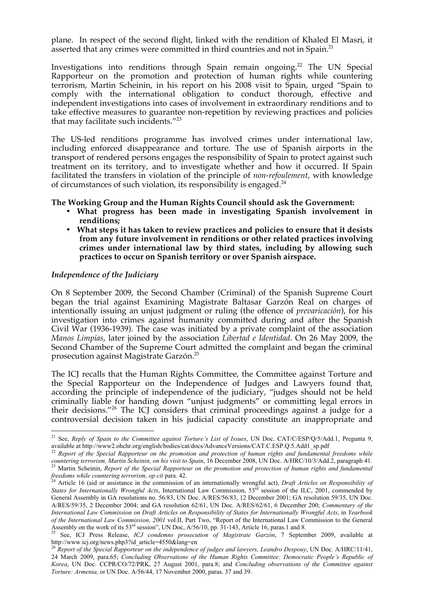plane. In respect of the second flight, linked with the rendition of Khaled El Masri, it asserted that any crimes were committed in third countries and not in Spain.<sup>21</sup>

Investigations into renditions through Spain remain ongoing.<sup>22</sup> The UN Special Rapporteur on the promotion and protection of human rights while countering terrorism, Martin Scheinin, in his report on his 2008 visit to Spain, urged "Spain to comply with the international obligation to conduct thorough, effective and independent investigations into cases of involvement in extraordinary renditions and to take effective measures to guarantee non-repetition by reviewing practices and policies that may facilitate such incidents."<sup>23</sup>

The US-led renditions programme has involved crimes under international law, including enforced disappearance and torture. The use of Spanish airports in the transport of rendered persons engages the responsibility of Spain to protect against such treatment on its territory, and to investigate whether and how it occurred. If Spain facilitated the transfers in violation of the principle of *non-refoulement*, with knowledge of circumstances of such violation, its responsibility is engaged. $^{24}$ 

### **The Working Group and the Human Rights Council should ask the Government:**

- **What progress has been made in investigating Spanish involvement in renditions;**
- **What steps it has taken to review practices and policies to ensure that it desists from any future involvement in renditions or other related practices involving crimes under international law by third states, including by allowing such practices to occur on Spanish territory or over Spanish airspace.**

### *Independence of the Judiciary*

On 8 September 2009, the Second Chamber (Criminal) of the Spanish Supreme Court began the trial against Examining Magistrate Baltasar Garzón Real on charges of intentionally issuing an unjust judgment or ruling (the offence of *prevaricación*), for his investigation into crimes against humanity committed during and after the Spanish Civil War (1936-1939). The case was initiated by a private complaint of the association *Manos Limpias*, later joined by the association *Libertad e Identidad*. On 26 May 2009, the Second Chamber of the Supreme Court admitted the complaint and began the criminal prosecution against Magistrate Garzón.25

The ICJ recalls that the Human Rights Committee, the Committee against Torture and the Special Rapporteur on the Independence of Judges and Lawyers found that, according the principle of independence of the judiciary, "judges should not be held criminally liable for handing down "unjust judgments" or committing legal errors in their decisions."26 The ICJ considers that criminal proceedings against a judge for a controversial decision taken in his judicial capacity constitute an inappropriate and

 <sup>21</sup> See, *Reply of Spain to the Committee against Torture's List of Issues*, UN Doc. CAT/C/ESP/Q/5/Add.1, Pregunta 9, available at http://www2.ohchr.org/english/bodies/cat/docs/AdvanceVersions/CAT.C.ESP.Q.5.Add1\_sp.pdf <sup>22</sup> *Report of the Special Rapporteur on the promotion and protection of human rights and fundamental freedoms while* 

countering terrorism, Martin Scheinin, on his visit to Spain, 16 December 2008, UN Doc. A/HRC/10/3/Add.2, paragraph 41.<br><sup>23</sup> Martin Scheinin, Report of the Special Rapporteur on the promotion and protection of human rights

*freedoms while countering terrorism, op cit* para. 42.<br><sup>24</sup> Article 16 (aid or assistance in the commission of an internationally wrongful act), *Draft Articles on Responsibility of States for Internationally Wrongful Acts*, International Law Commission, 53<sup>rd</sup> session of the ILC, 2001, commended by General Assembly in GA resolutions no. 56/83, UN Doc. A/RES/56/83, 12 December 2001; GA resolution 59/35, UN Doc. A/RES/59/35, 2 December 2004; and GA resolution 62/61, UN Doc. A/RES/62/61, 6 December 200; *Commentary of the International Law Commission on Draft Articles on Responsibility of States for Internationally Wrongful Acts*, in *Yearbook of the International Law Commission, 2001* vol.II, Part Two, "Report of the International Law Commission to the General Assembly on the work of its 53<sup>rd</sup> session", UN Doc, A/56/10, pp. 31-143, Article 16, paras.1 and 8.<br><sup>25</sup> See, ICJ Press Release, *ICJ condemns prosecution of Magistrate Garzón*, 7 September 2009, available at

http://www.icj.org/news.php3?id\_article=4550&lang=en

<sup>&</sup>lt;sup>26</sup> Report of the Special Rapporteur on the independence of judges and lawyers, Leandro Despouy, UN Doc. A/HRC/11/41, 24 March 2009, para.65; *Concluding Observations of the Human Rights Committee: Democratic People's Republic of Korea*, UN Doc. CCPR/CO/72/PRK, 27 August 2001, para.8; and *Concluding observations of the Committee against Torture: Armenia, in* UN Doc. A/56/44, 17 November 2000, paras. 37 and 39.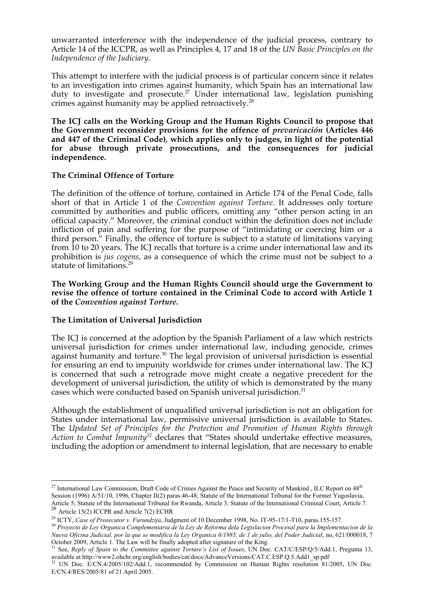unwarranted interference with the independence of the judicial process, contrary to Article 14 of the ICCPR, as well as Principles 4, 17 and 18 of the *UN Basic Principles on the Independence of the Judiciary*.

This attempt to interfere with the judicial process is of particular concern since it relates to an investigation into crimes against humanity, which Spain has an international law duty to investigate and prosecute.<sup>27</sup> Under international law, legislation punishing crimes against humanity may be applied retroactively.28

**The ICJ calls on the Working Group and the Human Rights Council to propose that the Government reconsider provisions for the offence of** *prevaricación* **(Articles 446 and 447 of the Criminal Code)***,* **which applies only to judges, in light of the potential for abuse through private prosecutions, and the consequences for judicial independence.**

### **The Criminal Offence of Torture**

The definition of the offence of torture, contained in Article 174 of the Penal Code, falls short of that in Article 1 of the *Convention against Torture*. It addresses only torture committed by authorities and public officers, omitting any "other person acting in an official capacity." Moreover, the criminal conduct within the definition does not include infliction of pain and suffering for the purpose of "intimidating or coercing him or a third person." Finally, the offence of torture is subject to a statute of limitations varying from 10 to 20 years. The ICJ recalls that torture is a crime under international law and its prohibition is *jus cogens*, as a consequence of which the crime must not be subject to a statute of limitations.<sup>29</sup>

**The Working Group and the Human Rights Council should urge the Government to revise the offence of torture contained in the Criminal Code to accord with Article 1 of the** *Convention against Torture***.** 

# **The Limitation of Universal Jurisdiction**

The ICJ is concerned at the adoption by the Spanish Parliament of a law which restricts universal jurisdiction for crimes under international law, including genocide, crimes against humanity and torture.<sup>30</sup> The legal provision of universal jurisdiction is essential for ensuring an end to impunity worldwide for crimes under international law. The ICJ is concerned that such a retrograde move might create a negative precedent for the development of universal jurisdiction, the utility of which is demonstrated by the many cases which were conducted based on Spanish universal jurisdiction.<sup>31</sup>

Although the establishment of unqualified universal jurisdiction is not an obligation for States under international law, permissive universal jurisdiction is available to States. The *Updated Set of Principles for the Protection and Promotion of Human Rights through Action to Combat Impunity*<sup>32</sup> declares that "States should undertake effective measures, including the adoption or amendment to internal legislation, that are necessary to enable

<sup>&</sup>lt;sup>27</sup> International Law Commission, Draft Code of Crimes Against the Peace and Security of Mankind, ILC Report on 48<sup>th</sup> Session (1996) A/51/10, 1996, Chapter II(2) paras.46-48; Statute of the International Tribunal for the Former Yugoslavia, Article 5; Statute of the International Tribunal for Rwanda, Article 3; Statute of the International Criminal Court, Article 7.

<sup>&</sup>lt;sup>28</sup> Article 15(2) ICCPR and Article 7(2) ECHR

<sup>&</sup>lt;sup>29</sup> ICTY, Case of Prosecutor v. Furundzija, Judgment of 10 December 1998, No. IT-95-17/1-T10, paras.155-157.<br><sup>30</sup> Provecto de Ley Organica Complementaria de la Ley de Reforma dela Legislacion Procesal para la Implementac

*Nueva Oficina Judicial, por la que se modifica la Ley Organica 6/1985, de 1 de julio, del Poder Judicial*, no, 621/000018, 7 October 2009, Article 1. The Law will be finally adopted after signature of the King. 31 See, *Reply of Spain to the Committee against Torture's List of Issues*, UN Doc. CAT/C/ESP/Q/5/Add.1, Pregunta 13,

available at http://www2.ohchr.org/english/bodies/cat/docs/AdvanceVersions/CAT.C.ESP.Q.5.Add1\_sp.pdf <sup>32</sup> UN Doc. E/CN.4/2005/102/Add.1, recommended by Commission on Human Rights resolution 81/2005, UN Doc.

E/CN.4/RES/2005/81 of 21 April 2005.